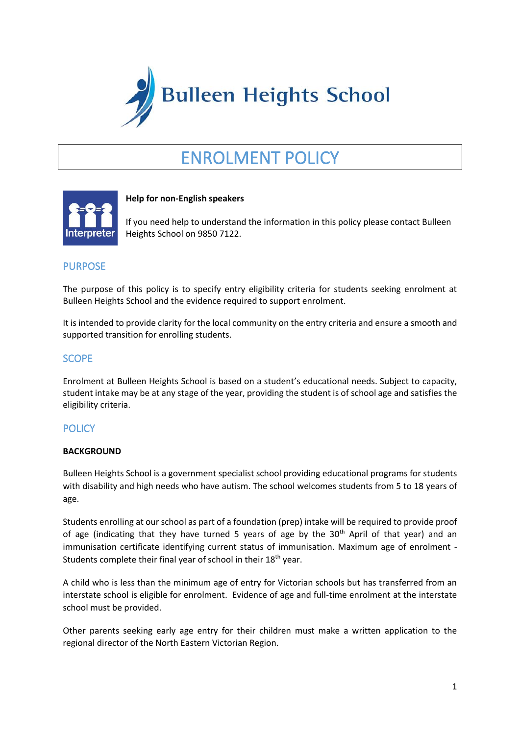

# ENROLMENT POLICY



## **Help for non-English speakers**

If you need help to understand the information in this policy please contact Bulleen Heights School on 9850 7122.

# PURPOSE

The purpose of this policy is to specify entry eligibility criteria for students seeking enrolment at Bulleen Heights School and the evidence required to support enrolment.

It is intended to provide clarity for the local community on the entry criteria and ensure a smooth and supported transition for enrolling students.

## **SCOPE**

Enrolment at Bulleen Heights School is based on a student's educational needs. Subject to capacity, student intake may be at any stage of the year, providing the student is of school age and satisfies the eligibility criteria.

# **POLICY**

#### **BACKGROUND**

Bulleen Heights School is a government specialist school providing educational programs for students with disability and high needs who have autism. The school welcomes students from 5 to 18 years of age.

Students enrolling at our school as part of a foundation (prep) intake will be required to provide proof of age (indicating that they have turned 5 years of age by the  $30<sup>th</sup>$  April of that year) and an immunisation certificate identifying current status of immunisation. Maximum age of enrolment - Students complete their final year of school in their 18<sup>th</sup> year.

A child who is less than the minimum age of entry for Victorian schools but has transferred from an interstate school is eligible for enrolment. Evidence of age and full-time enrolment at the interstate school must be provided.

Other parents seeking early age entry for their children must make a written application to the regional director of the North Eastern Victorian Region.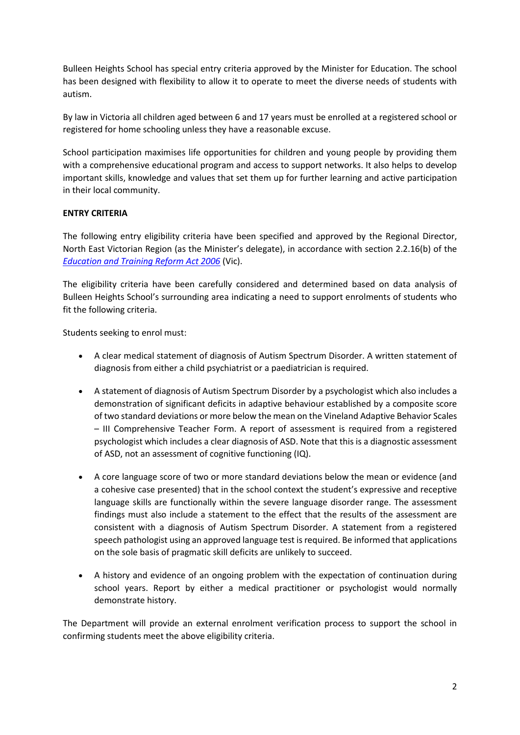Bulleen Heights School has special entry criteria approved by the Minister for Education. The school has been designed with flexibility to allow it to operate to meet the diverse needs of students with autism.

By law in Victoria all children aged between 6 and 17 years must be enrolled at a registered school or registered for home schooling unless they have a reasonable excuse.

School participation maximises life opportunities for children and young people by providing them with a comprehensive educational program and access to support networks. It also helps to develop important skills, knowledge and values that set them up for further learning and active participation in their local community.

## **ENTRY CRITERIA**

The following entry eligibility criteria have been specified and approved by the Regional Director, North East Victorian Region (as the Minister's delegate), in accordance with section 2.2.16(b) of the *[Education and Training Reform Act 2006](https://www.legislation.vic.gov.au/in-force/acts/education-and-training-reform-act-2006)* (Vic).

The eligibility criteria have been carefully considered and determined based on data analysis of Bulleen Heights School's surrounding area indicating a need to support enrolments of students who fit the following criteria.

Students seeking to enrol must:

- A clear medical statement of diagnosis of Autism Spectrum Disorder. A written statement of diagnosis from either a child psychiatrist or a paediatrician is required.
- A statement of diagnosis of Autism Spectrum Disorder by a psychologist which also includes a demonstration of significant deficits in adaptive behaviour established by a composite score of two standard deviations or more below the mean on the Vineland Adaptive Behavior Scales – III Comprehensive Teacher Form. A report of assessment is required from a registered psychologist which includes a clear diagnosis of ASD. Note that this is a diagnostic assessment of ASD, not an assessment of cognitive functioning (IQ).
- A core language score of two or more standard deviations below the mean or evidence (and a cohesive case presented) that in the school context the student's expressive and receptive language skills are functionally within the severe language disorder range. The assessment findings must also include a statement to the effect that the results of the assessment are consistent with a diagnosis of Autism Spectrum Disorder. A statement from a registered speech pathologist using an approved language test is required. Be informed that applications on the sole basis of pragmatic skill deficits are unlikely to succeed.
- A history and evidence of an ongoing problem with the expectation of continuation during school years. Report by either a medical practitioner or psychologist would normally demonstrate history.

The Department will provide an external enrolment verification process to support the school in confirming students meet the above eligibility criteria.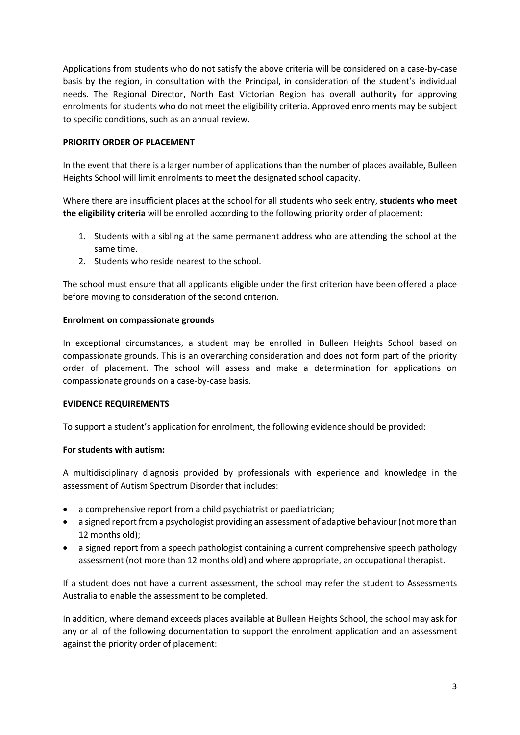Applications from students who do not satisfy the above criteria will be considered on a case-by-case basis by the region, in consultation with the Principal, in consideration of the student's individual needs. The Regional Director, North East Victorian Region has overall authority for approving enrolments for students who do not meet the eligibility criteria. Approved enrolments may be subject to specific conditions, such as an annual review.

### **PRIORITY ORDER OF PLACEMENT**

In the event that there is a larger number of applications than the number of places available, Bulleen Heights School will limit enrolments to meet the designated school capacity.

Where there are insufficient places at the school for all students who seek entry, **students who meet the eligibility criteria** will be enrolled according to the following priority order of placement:

- 1. Students with a sibling at the same permanent address who are attending the school at the same time.
- 2. Students who reside nearest to the school.

The school must ensure that all applicants eligible under the first criterion have been offered a place before moving to consideration of the second criterion.

#### **Enrolment on compassionate grounds**

In exceptional circumstances, a student may be enrolled in Bulleen Heights School based on compassionate grounds. This is an overarching consideration and does not form part of the priority order of placement. The school will assess and make a determination for applications on compassionate grounds on a case-by-case basis.

#### **EVIDENCE REQUIREMENTS**

To support a student's application for enrolment, the following evidence should be provided:

#### **For students with autism:**

A multidisciplinary diagnosis provided by professionals with experience and knowledge in the assessment of Autism Spectrum Disorder that includes:

- a comprehensive report from a child psychiatrist or paediatrician;
- a signed report from a psychologist providing an assessment of adaptive behaviour (not more than 12 months old);
- a signed report from a speech pathologist containing a current comprehensive speech pathology assessment (not more than 12 months old) and where appropriate, an occupational therapist.

If a student does not have a current assessment, the school may refer the student to Assessments Australia to enable the assessment to be completed.

In addition, where demand exceeds places available at Bulleen Heights School, the school may ask for any or all of the following documentation to support the enrolment application and an assessment against the priority order of placement: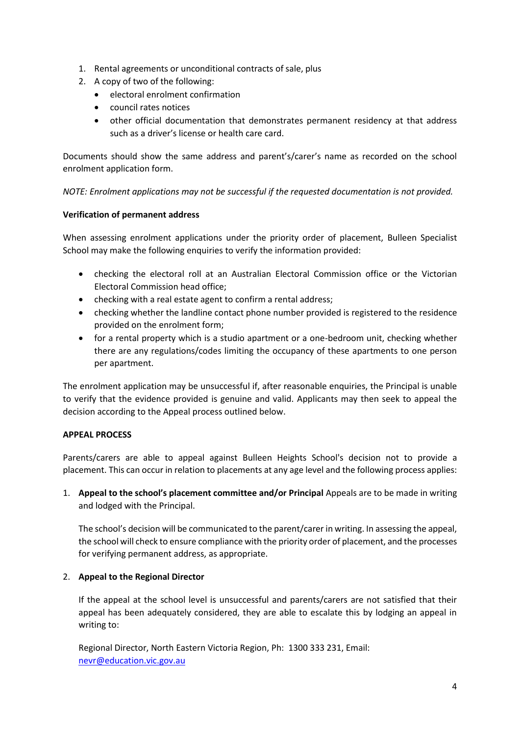- 1. Rental agreements or unconditional contracts of sale, plus
- 2. A copy of two of the following:
	- electoral enrolment confirmation
	- council rates notices
	- other official documentation that demonstrates permanent residency at that address such as a driver's license or health care card.

Documents should show the same address and parent's/carer's name as recorded on the school enrolment application form.

*NOTE: Enrolment applications may not be successful if the requested documentation is not provided.* 

#### **Verification of permanent address**

When assessing enrolment applications under the priority order of placement, Bulleen Specialist School may make the following enquiries to verify the information provided:

- checking the electoral roll at an Australian Electoral Commission office or the Victorian Electoral Commission head office;
- checking with a real estate agent to confirm a rental address;
- checking whether the landline contact phone number provided is registered to the residence provided on the enrolment form;
- for a rental property which is a studio apartment or a one-bedroom unit, checking whether there are any regulations/codes limiting the occupancy of these apartments to one person per apartment.

The enrolment application may be unsuccessful if, after reasonable enquiries, the Principal is unable to verify that the evidence provided is genuine and valid. Applicants may then seek to appeal the decision according to the Appeal process outlined below.

#### **APPEAL PROCESS**

Parents/carers are able to appeal against Bulleen Heights School's decision not to provide a placement. This can occur in relation to placements at any age level and the following process applies:

1. **Appeal to the school's placement committee and/or Principal** Appeals are to be made in writing and lodged with the Principal.

The school's decision will be communicated to the parent/carer in writing. In assessing the appeal, the school will check to ensure compliance with the priority order of placement, and the processes for verifying permanent address, as appropriate.

## 2. **Appeal to the Regional Director**

If the appeal at the school level is unsuccessful and parents/carers are not satisfied that their appeal has been adequately considered, they are able to escalate this by lodging an appeal in writing to:

Regional Director, North Eastern Victoria Region, Ph: 1300 333 231, Email: [nevr@education.vic.gov.au](mailto:nevr@education.vic.gov.au)